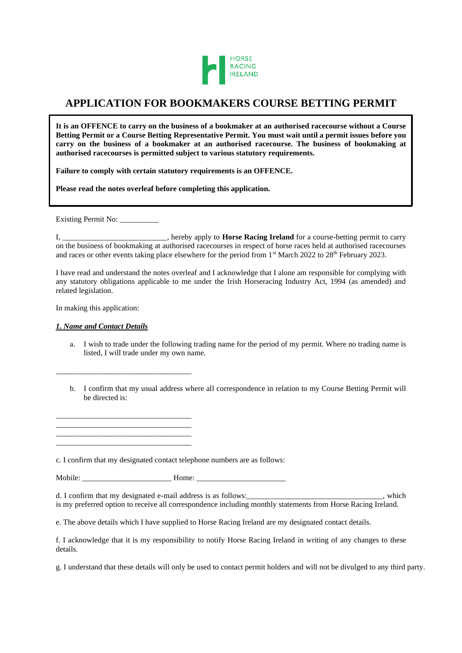

# **APPLICATION FOR BOOKMAKERS COURSE BETTING PERMIT**

**It is an OFFENCE to carry on the business of a bookmaker at an authorised racecourse without a Course Betting Permit or a Course Betting Representative Permit. You must wait until a permit issues before you carry on the business of a bookmaker at an authorised racecourse. The business of bookmaking at authorised racecourses is permitted subject to various statutory requirements.**

**Failure to comply with certain statutory requirements is an OFFENCE.**

**Please read the notes overleaf before completing this application.**

Existing Permit No: \_\_\_\_\_\_\_\_\_\_\_\_

I, \_\_\_\_\_\_\_\_\_\_\_\_\_\_\_\_\_\_\_\_\_\_\_\_\_\_\_, hereby apply to **Horse Racing Ireland** for a course-betting permit to carry on the business of bookmaking at authorised racecourses in respect of horse races held at authorised racecourses and races or other events taking place elsewhere for the period from 1<sup>st</sup> March 2022 to 28<sup>th</sup> February 2023.

I have read and understand the notes overleaf and I acknowledge that I alone am responsible for complying with any statutory obligations applicable to me under the Irish Horseracing Industry Act, 1994 (as amended) and related legislation.

In making this application:

## *1. Name and Contact Details*

\_\_\_\_\_\_\_\_\_\_\_\_\_\_\_\_\_\_\_\_\_\_\_\_\_\_\_\_\_\_\_\_\_\_\_

\_\_\_\_\_\_\_\_\_\_\_\_\_\_\_\_\_\_\_\_\_\_\_\_\_\_\_\_\_\_\_\_\_\_\_ \_\_\_\_\_\_\_\_\_\_\_\_\_\_\_\_\_\_\_\_\_\_\_\_\_\_\_\_\_\_\_\_\_\_\_ \_\_\_\_\_\_\_\_\_\_\_\_\_\_\_\_\_\_\_\_\_\_\_\_\_\_\_\_\_\_\_\_\_\_\_ \_\_\_\_\_\_\_\_\_\_\_\_\_\_\_\_\_\_\_\_\_\_\_\_\_\_\_\_\_\_\_\_\_\_\_

- a. I wish to trade under the following trading name for the period of my permit. Where no trading name is listed, I will trade under my own name.
- b. I confirm that my usual address where all correspondence in relation to my Course Betting Permit will be directed is:

c. I confirm that my designated contact telephone numbers are as follows:

Mobile: \_\_\_\_\_\_\_\_\_\_\_\_\_\_\_\_\_\_\_\_\_\_\_ Home: \_\_\_\_\_\_\_\_\_\_\_\_\_\_\_\_\_\_\_\_\_\_\_

d. I confirm that my designated e-mail address is as follows:\_\_\_\_\_\_\_\_\_\_\_\_\_\_\_\_\_\_\_\_\_\_\_\_\_\_\_\_\_\_\_\_\_\_\_, which is my preferred option to receive all correspondence including monthly statements from Horse Racing Ireland.

e. The above details which I have supplied to Horse Racing Ireland are my designated contact details.

f. I acknowledge that it is my responsibility to notify Horse Racing Ireland in writing of any changes to these details.

g. I understand that these details will only be used to contact permit holders and will not be divulged to any third party.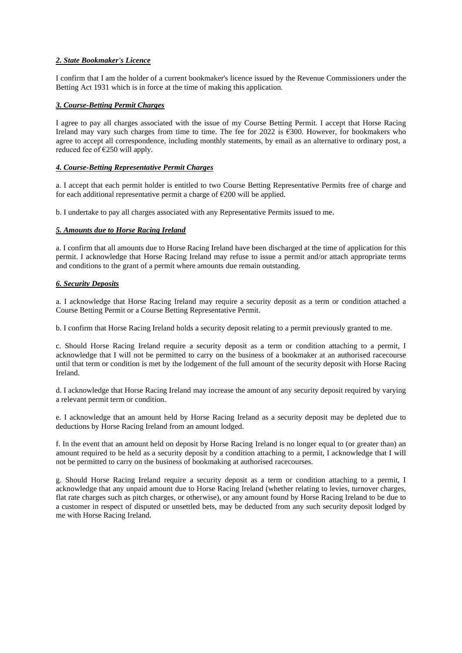# *2. State Bookmaker's Licence*

I confirm that I am the holder of a current bookmaker's licence issued by the Revenue Commissioners under the Betting Act 1931 which is in force at the time of making this application.

# *3. Course-Betting Permit Charges*

I agree to pay all charges associated with the issue of my Course Betting Permit. I accept that Horse Racing Ireland may vary such charges from time to time. The fee for 2022 is €300. However, for bookmakers who agree to accept all correspondence, including monthly statements, by email as an alternative to ordinary post, a reduced fee of  $\epsilon$ 250 will apply.

#### *4. Course-Betting Representative Permit Charges*

a. I accept that each permit holder is entitled to two Course Betting Representative Permits free of charge and for each additional representative permit a charge of  $\epsilon$ 200 will be applied.

b. I undertake to pay all charges associated with any Representative Permits issued to me.

#### *5. Amounts due to Horse Racing Ireland*

a. I confirm that all amounts due to Horse Racing Ireland have been discharged at the time of application for this permit. I acknowledge that Horse Racing Ireland may refuse to issue a permit and/or attach appropriate terms and conditions to the grant of a permit where amounts due remain outstanding.

## *6. Security Deposits*

a. I acknowledge that Horse Racing Ireland may require a security deposit as a term or condition attached a Course Betting Permit or a Course Betting Representative Permit.

b. I confirm that Horse Racing Ireland holds a security deposit relating to a permit previously granted to me.

c. Should Horse Racing Ireland require a security deposit as a term or condition attaching to a permit, I acknowledge that I will not be permitted to carry on the business of a bookmaker at an authorised racecourse until that term or condition is met by the lodgement of the full amount of the security deposit with Horse Racing Ireland.

d. I acknowledge that Horse Racing Ireland may increase the amount of any security deposit required by varying a relevant permit term or condition.

e. I acknowledge that an amount held by Horse Racing Ireland as a security deposit may be depleted due to deductions by Horse Racing Ireland from an amount lodged.

f. In the event that an amount held on deposit by Horse Racing Ireland is no longer equal to (or greater than) an amount required to be held as a security deposit by a condition attaching to a permit, I acknowledge that I will not be permitted to carry on the business of bookmaking at authorised racecourses.

g. Should Horse Racing Ireland require a security deposit as a term or condition attaching to a permit, I acknowledge that any unpaid amount due to Horse Racing Ireland (whether relating to levies, turnover charges, flat rate charges such as pitch charges, or otherwise), or any amount found by Horse Racing Ireland to be due to a customer in respect of disputed or unsettled bets, may be deducted from any such security deposit lodged by me with Horse Racing Ireland.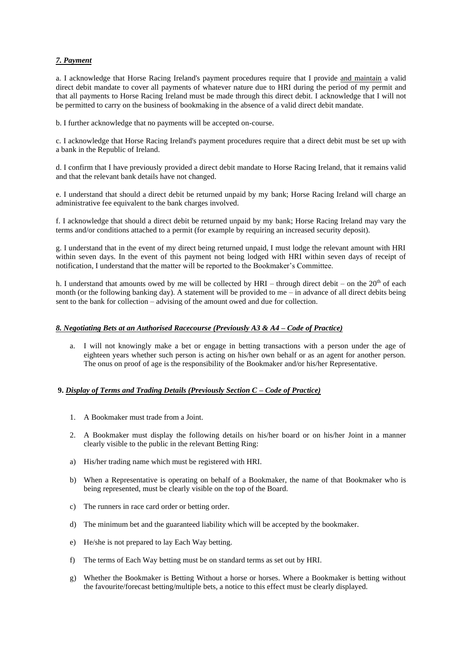# *7. Payment*

a. I acknowledge that Horse Racing Ireland's payment procedures require that I provide and maintain a valid direct debit mandate to cover all payments of whatever nature due to HRI during the period of my permit and that all payments to Horse Racing Ireland must be made through this direct debit. I acknowledge that I will not be permitted to carry on the business of bookmaking in the absence of a valid direct debit mandate.

b. I further acknowledge that no payments will be accepted on-course.

c. I acknowledge that Horse Racing Ireland's payment procedures require that a direct debit must be set up with a bank in the Republic of Ireland.

d. I confirm that I have previously provided a direct debit mandate to Horse Racing Ireland, that it remains valid and that the relevant bank details have not changed.

e. I understand that should a direct debit be returned unpaid by my bank; Horse Racing Ireland will charge an administrative fee equivalent to the bank charges involved.

f. I acknowledge that should a direct debit be returned unpaid by my bank; Horse Racing Ireland may vary the terms and/or conditions attached to a permit (for example by requiring an increased security deposit).

g. I understand that in the event of my direct being returned unpaid, I must lodge the relevant amount with HRI within seven days. In the event of this payment not being lodged with HRI within seven days of receipt of notification, I understand that the matter will be reported to the Bookmaker's Committee.

h. I understand that amounts owed by me will be collected by HRI – through direct debit – on the  $20<sup>th</sup>$  of each month (or the following banking day). A statement will be provided to me – in advance of all direct debits being sent to the bank for collection – advising of the amount owed and due for collection.

## *8. Negotiating Bets at an Authorised Racecourse (Previously A3 & A4 – Code of Practice)*

I will not knowingly make a bet or engage in betting transactions with a person under the age of eighteen years whether such person is acting on his/her own behalf or as an agent for another person. The onus on proof of age is the responsibility of the Bookmaker and/or his/her Representative.

# **9.** *Display of Terms and Trading Details (Previously Section C – Code of Practice)*

- 1. A Bookmaker must trade from a Joint.
- 2. A Bookmaker must display the following details on his/her board or on his/her Joint in a manner clearly visible to the public in the relevant Betting Ring:
- a) His/her trading name which must be registered with HRI.
- b) When a Representative is operating on behalf of a Bookmaker, the name of that Bookmaker who is being represented, must be clearly visible on the top of the Board.
- c) The runners in race card order or betting order.
- d) The minimum bet and the guaranteed liability which will be accepted by the bookmaker.
- e) He/she is not prepared to lay Each Way betting.
- f) The terms of Each Way betting must be on standard terms as set out by HRI.
- g) Whether the Bookmaker is Betting Without a horse or horses. Where a Bookmaker is betting without the favourite/forecast betting/multiple bets, a notice to this effect must be clearly displayed.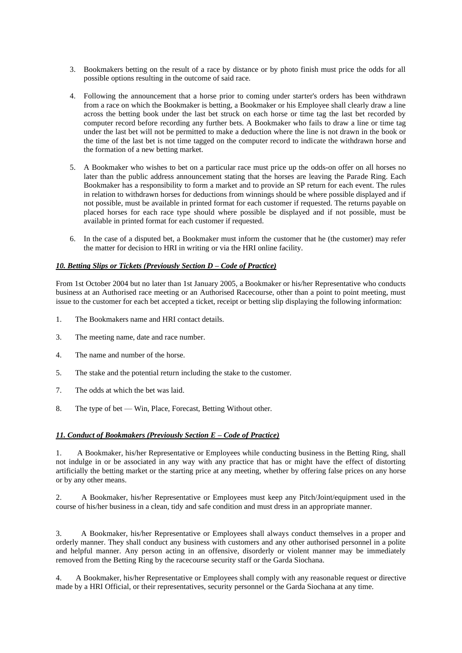- 3. Bookmakers betting on the result of a race by distance or by photo finish must price the odds for all possible options resulting in the outcome of said race.
- 4. Following the announcement that a horse prior to coming under starter's orders has been withdrawn from a race on which the Bookmaker is betting, a Bookmaker or his Employee shall clearly draw a line across the betting book under the last bet struck on each horse or time tag the last bet recorded by computer record before recording any further bets. A Bookmaker who fails to draw a line or time tag under the last bet will not be permitted to make a deduction where the line is not drawn in the book or the time of the last bet is not time tagged on the computer record to indicate the withdrawn horse and the formation of a new betting market.
- 5. A Bookmaker who wishes to bet on a particular race must price up the odds-on offer on all horses no later than the public address announcement stating that the horses are leaving the Parade Ring. Each Bookmaker has a responsibility to form a market and to provide an SP return for each event. The rules in relation to withdrawn horses for deductions from winnings should be where possible displayed and if not possible, must be available in printed format for each customer if requested. The returns payable on placed horses for each race type should where possible be displayed and if not possible, must be available in printed format for each customer if requested.
- 6. In the case of a disputed bet, a Bookmaker must inform the customer that he (the customer) may refer the matter for decision to HRI in writing or via the HRI online facility.

# *10. Betting Slips or Tickets (Previously Section D – Code of Practice)*

From 1st October 2004 but no later than 1st January 2005, a Bookmaker or his/her Representative who conducts business at an Authorised race meeting or an Authorised Racecourse, other than a point to point meeting, must issue to the customer for each bet accepted a ticket, receipt or betting slip displaying the following information:

- 1. The Bookmakers name and HRI contact details.
- 3. The meeting name, date and race number.
- 4. The name and number of the horse.
- 5. The stake and the potential return including the stake to the customer.
- 7. The odds at which the bet was laid.
- 8. The type of bet Win, Place, Forecast, Betting Without other.

# *11. Conduct of Bookmakers (Previously Section E – Code of Practice)*

1. A Bookmaker, his/her Representative or Employees while conducting business in the Betting Ring, shall not indulge in or be associated in any way with any practice that has or might have the effect of distorting artificially the betting market or the starting price at any meeting, whether by offering false prices on any horse or by any other means.

2. A Bookmaker, his/her Representative or Employees must keep any Pitch/Joint/equipment used in the course of his/her business in a clean, tidy and safe condition and must dress in an appropriate manner.

3. A Bookmaker, his/her Representative or Employees shall always conduct themselves in a proper and orderly manner. They shall conduct any business with customers and any other authorised personnel in a polite and helpful manner. Any person acting in an offensive, disorderly or violent manner may be immediately removed from the Betting Ring by the racecourse security staff or the Garda Siochana.

4. A Bookmaker, his/her Representative or Employees shall comply with any reasonable request or directive made by a HRI Official, or their representatives, security personnel or the Garda Siochana at any time.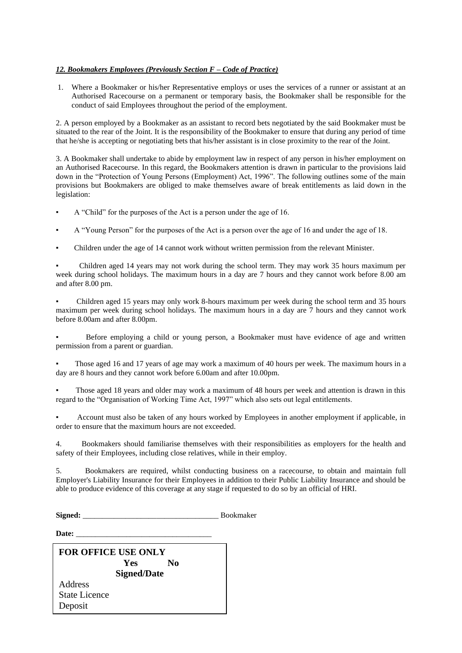# *12. Bookmakers Employees (Previously Section F – Code of Practice)*

1. Where a Bookmaker or his/her Representative employs or uses the services of a runner or assistant at an Authorised Racecourse on a permanent or temporary basis, the Bookmaker shall be responsible for the conduct of said Employees throughout the period of the employment.

2. A person employed by a Bookmaker as an assistant to record bets negotiated by the said Bookmaker must be situated to the rear of the Joint. It is the responsibility of the Bookmaker to ensure that during any period of time that he/she is accepting or negotiating bets that his/her assistant is in close proximity to the rear of the Joint.

3. A Bookmaker shall undertake to abide by employment law in respect of any person in his/her employment on an Authorised Racecourse. In this regard, the Bookmakers attention is drawn in particular to the provisions laid down in the "Protection of Young Persons (Employment) Act, 1996". The following outlines some of the main provisions but Bookmakers are obliged to make themselves aware of break entitlements as laid down in the legislation:

- A "Child" for the purposes of the Act is a person under the age of 16.
- A "Young Person" for the purposes of the Act is a person over the age of 16 and under the age of 18.
- Children under the age of 14 cannot work without written permission from the relevant Minister.

Children aged 14 years may not work during the school term. They may work 35 hours maximum per week during school holidays. The maximum hours in a day are 7 hours and they cannot work before 8.00 am and after 8.00 pm.

▪ Children aged 15 years may only work 8-hours maximum per week during the school term and 35 hours maximum per week during school holidays. The maximum hours in a day are 7 hours and they cannot work before 8.00am and after 8.00pm.

▪ Before employing a child or young person, a Bookmaker must have evidence of age and written permission from a parent or guardian.

Those aged 16 and 17 years of age may work a maximum of 40 hours per week. The maximum hours in a day are 8 hours and they cannot work before 6.00am and after 10.00pm.

Those aged 18 years and older may work a maximum of 48 hours per week and attention is drawn in this regard to the "Organisation of Working Time Act, 1997" which also sets out legal entitlements.

Account must also be taken of any hours worked by Employees in another employment if applicable, in order to ensure that the maximum hours are not exceeded.

4. Bookmakers should familiarise themselves with their responsibilities as employers for the health and safety of their Employees, including close relatives, while in their employ.

5. Bookmakers are required, whilst conducting business on a racecourse, to obtain and maintain full Employer's Liability Insurance for their Employees in addition to their Public Liability Insurance and should be able to produce evidence of this coverage at any stage if requested to do so by an official of HRI.

Signed: **Signed: Bookmaker** 

**Date:** \_\_\_\_\_\_\_\_\_\_\_\_\_\_\_\_\_\_\_\_\_\_\_\_\_\_\_\_\_\_\_\_\_\_\_

| <b>FOR OFFICE USE ONLY</b> |     |    |  |
|----------------------------|-----|----|--|
|                            | Yes | No |  |
| <b>Signed/Date</b>         |     |    |  |
| Address                    |     |    |  |
| <b>State Licence</b>       |     |    |  |
| Deposit                    |     |    |  |
|                            |     |    |  |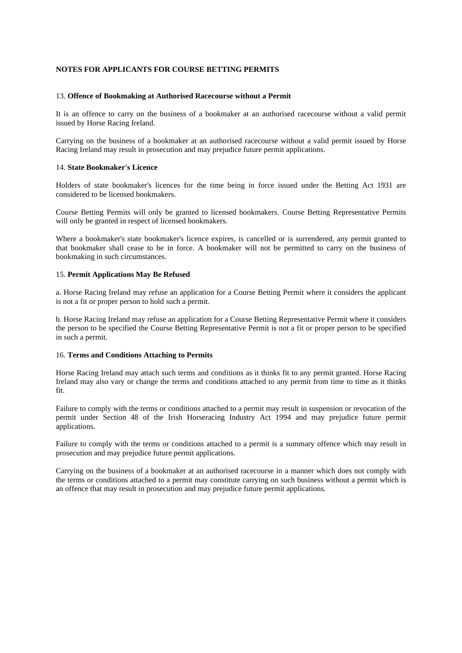# **NOTES FOR APPLICANTS FOR COURSE BETTING PERMITS**

#### 13. **Offence of Bookmaking at Authorised Racecourse without a Permit**

It is an offence to carry on the business of a bookmaker at an authorised racecourse without a valid permit issued by Horse Racing Ireland.

Carrying on the business of a bookmaker at an authorised racecourse without a valid permit issued by Horse Racing Ireland may result in prosecution and may prejudice future permit applications.

#### 14. **State Bookmaker's Licence**

Holders of state bookmaker's licences for the time being in force issued under the Betting Act 1931 are considered to be licensed bookmakers.

Course Betting Permits will only be granted to licensed bookmakers. Course Betting Representative Permits will only be granted in respect of licensed bookmakers.

Where a bookmaker's state bookmaker's licence expires, is cancelled or is surrendered, any permit granted to that bookmaker shall cease to be in force. A bookmaker will not be permitted to carry on the business of bookmaking in such circumstances.

## 15. **Permit Applications May Be Refused**

a. Horse Racing Ireland may refuse an application for a Course Betting Permit where it considers the applicant is not a fit or proper person to hold such a permit.

b. Horse Racing Ireland may refuse an application for a Course Betting Representative Permit where it considers the person to be specified the Course Betting Representative Permit is not a fit or proper person to be specified in such a permit.

#### 16. **Terms and Conditions Attaching to Permits**

Horse Racing Ireland may attach such terms and conditions as it thinks fit to any permit granted. Horse Racing Ireland may also vary or change the terms and conditions attached to any permit from time to time as it thinks fit.

Failure to comply with the terms or conditions attached to a permit may result in suspension or revocation of the permit under Section 48 of the Irish Horseracing Industry Act 1994 and may prejudice future permit applications.

Failure to comply with the terms or conditions attached to a permit is a summary offence which may result in prosecution and may prejudice future permit applications.

Carrying on the business of a bookmaker at an authorised racecourse in a manner which does not comply with the terms or conditions attached to a permit may constitute carrying on such business without a permit which is an offence that may result in prosecution and may prejudice future permit applications.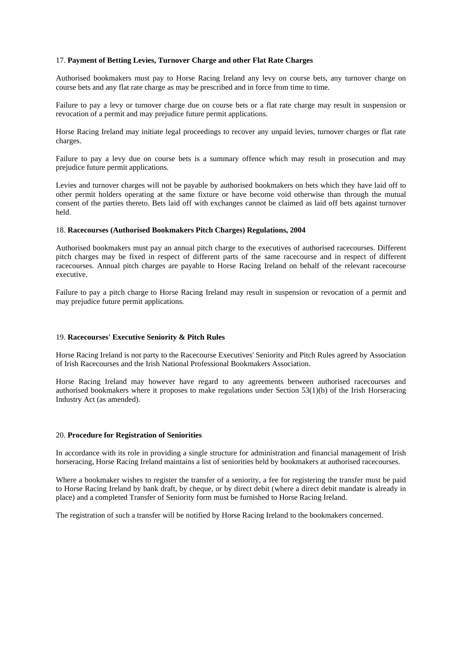# 17. **Payment of Betting Levies, Turnover Charge and other Flat Rate Charges**

Authorised bookmakers must pay to Horse Racing Ireland any levy on course bets, any turnover charge on course bets and any flat rate charge as may be prescribed and in force from time to time.

Failure to pay a levy or turnover charge due on course bets or a flat rate charge may result in suspension or revocation of a permit and may prejudice future permit applications.

Horse Racing Ireland may initiate legal proceedings to recover any unpaid levies, turnover charges or flat rate charges.

Failure to pay a levy due on course bets is a summary offence which may result in prosecution and may prejudice future permit applications.

Levies and turnover charges will not be payable by authorised bookmakers on bets which they have laid off to other permit holders operating at the same fixture or have become void otherwise than through the mutual consent of the parties thereto. Bets laid off with exchanges cannot be claimed as laid off bets against turnover held.

#### 18. **Racecourses (Authorised Bookmakers Pitch Charges) Regulations, 2004**

Authorised bookmakers must pay an annual pitch charge to the executives of authorised racecourses. Different pitch charges may be fixed in respect of different parts of the same racecourse and in respect of different racecourses. Annual pitch charges are payable to Horse Racing Ireland on behalf of the relevant racecourse executive.

Failure to pay a pitch charge to Horse Racing Ireland may result in suspension or revocation of a permit and may prejudice future permit applications.

# 19. **Racecourses' Executive Seniority & Pitch Rules**

Horse Racing Ireland is not party to the Racecourse Executives' Seniority and Pitch Rules agreed by Association of Irish Racecourses and the Irish National Professional Bookmakers Association.

Horse Racing Ireland may however have regard to any agreements between authorised racecourses and authorised bookmakers where it proposes to make regulations under Section 53(1)(b) of the Irish Horseracing Industry Act (as amended).

#### 20. **Procedure for Registration of Seniorities**

In accordance with its role in providing a single structure for administration and financial management of Irish horseracing, Horse Racing Ireland maintains a list of seniorities held by bookmakers at authorised racecourses.

Where a bookmaker wishes to register the transfer of a seniority, a fee for registering the transfer must be paid to Horse Racing Ireland by bank draft, by cheque, or by direct debit (where a direct debit mandate is already in place) and a completed Transfer of Seniority form must be furnished to Horse Racing Ireland.

The registration of such a transfer will be notified by Horse Racing Ireland to the bookmakers concerned.